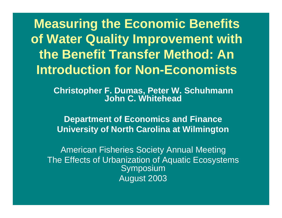**Measuring the Economic Benefits of Water Quality Improvement with the Benefit Transfer Method: An Introduction for Non-Economists**

> **Christopher F. Dumas, Peter W. Schuhmann John C. Whitehead**

**Department of Economics and Finance University of North Carolina at Wilmington** 

American Fisheries Society Annual Meeting The Effects of Urbanization of Aquatic Ecosystems Symposium August 2003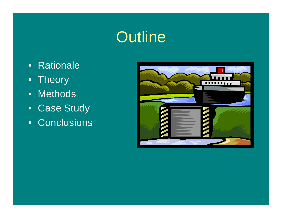# **Outline**

- Rationale
- Theory
- Methods
- Case Study
- Conclusions

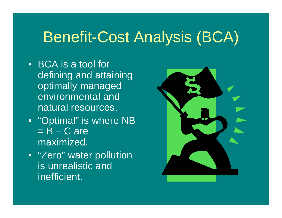# Benefit-Cost Analysis (BCA)

- BCA is a tool for defining and attaining optimally managed environmental and natural resources.
- "Optimal" is where NB  $= B - C$  are maximized.
- "Zero" water pollution is unrealistic and inefficient.

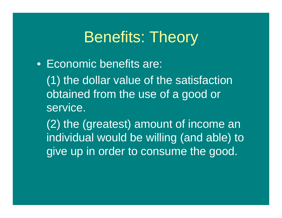## Benefits: Theory

• Economic benefits are: (1) the dollar value of the satisfaction obtained from the use of a good or service.

(2) the (greatest) amount of income an individual would be willing (and able) to give up in order to consume the good.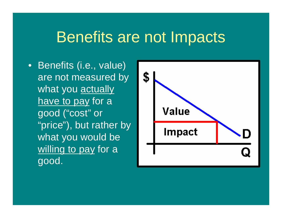## Benefits are not Impacts

• Benefits (i.e., value) are not measured by what you actually have to pay for a good ("cost" or "price"), but rather by what you would be willing to pay for a good.

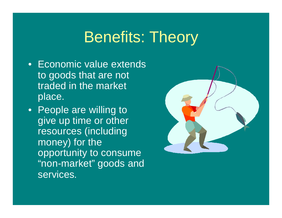## Benefits: Theory

- Economic value extends to goods that are not traded in the market place.
- People are willing to give up time or other resources (including money) for the opportunity to consume "non-market" goods and services.

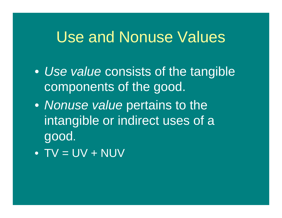## Use and Nonuse Values

- *Use value* consists of the tangible components of the good.
- *Nonuse value* pertains to the intangible or indirect uses of a good.
- $\bullet$  TV = UV + NUV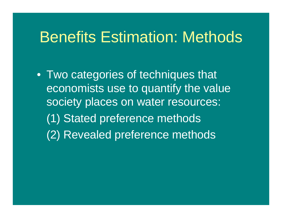## Benefits Estimation: Methods

• Two categories of techniques that economists use to quantify the value society places on water resources: (1) Stated preference methods (2) Revealed preference methods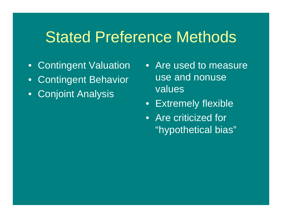#### Stated Preference Methods

- Contingent Valuation
- Contingent Behavior
- Conjoint Analysis
- Are used to measure use and nonuse values
- Extremely flexible
- Are criticized for "hypothetical bias"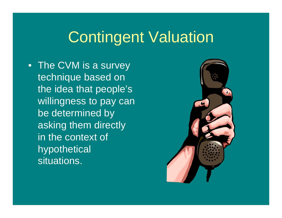# Contingent Valuation

• The CVM is a survey technique based on the idea that people's willingness to pay can be determined by asking them directly in the context of hypothetical situations.

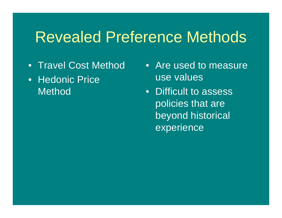#### Revealed Preference Methods

- Travel Cost Method
- Hedonic Price **Method**
- Are used to measure use values
- Difficult to assess policies that are beyond historical experience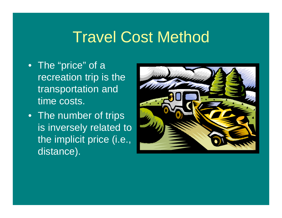# Travel Cost Method

- The "price" of a recreation trip is the transportation and time costs.
- The number of trips is inversely related to the implicit price (i.e., distance).

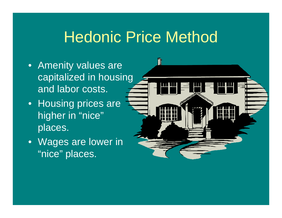# Hedonic Price Method

T

- Amenity values are capitalized in housing and labor costs.
- Housing prices are higher in "nice" places.
- Wages are lower in "nice" places.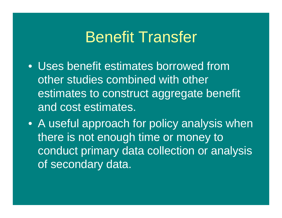## Benefit Transfer

• Uses benefit estimates borrowed from other studies combined with other estimates to construct aggregate benefit and cost estimates.

• A useful approach for policy analysis when there is not enough time or money to conduct primary data collection or analysis of secondary data.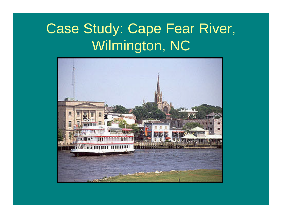# Case Study: Cape Fear River, Wilmington, NC

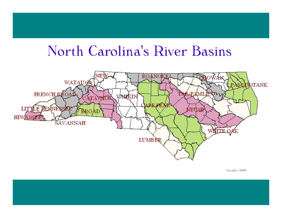## North Carolina's River Basins



Necesslate 1889).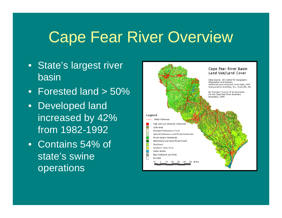# **Cape Fear River Overview**

- State's largest river basin
- Forested land > 50%
- Developed land increased by 42% from 1982-1992
- Contains 54% of state's swine operations

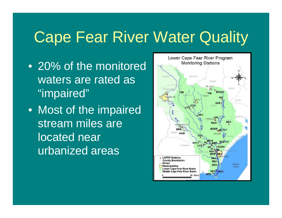# Cape Fear River Water Quality

- 20% of the monitored waters are rated as "impaired"
- Most of the impaired stream miles are located near urbanized areas

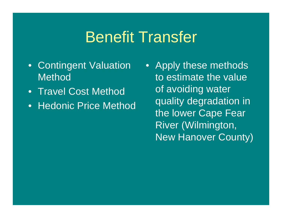# Benefit Transfer

- Contingent Valuation **Method**
- Travel Cost Method
- Hedonic Price Method
- Apply these methods to estimate the value of avoiding water quality degradation in the lower Cape Fear River (Wilmington, New Hanover County)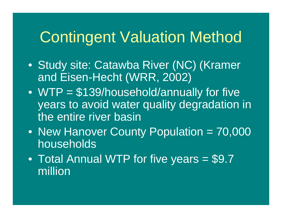# Contingent Valuation Method

- Study site: Catawba River (NC) (Kramer and Eisen-Hecht (WRR, 2002)
- WTP = \$139/household/annually for five years to avoid water quality degradation in the entire river basin
- New Hanover County Population = 70,000 households
- Total Annual WTP for five years = \$9.7 million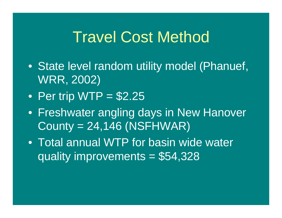## Travel Cost Method

- State level random utility model (Phanuef, WRR, 2002)
- Per trip WTP  $= $2.25$
- Freshwater angling days in New Hanover County = 24,146 (NSFHWAR)
- Total annual WTP for basin wide water quality improvements = \$54,328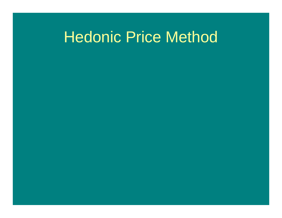# Hedonic Price Method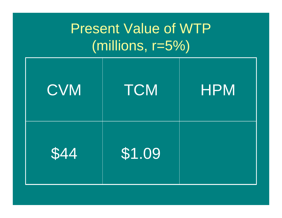# Present Value of WTP (millions, r=5%)

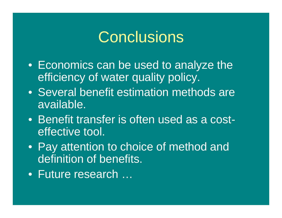## **Conclusions**

- Economics can be used to analyze the efficiency of water quality policy.
- Several benefit estimation methods are available.
- Benefit transfer is often used as a costeffective tool.
- Pay attention to choice of method and definition of benefits.
- Future research …